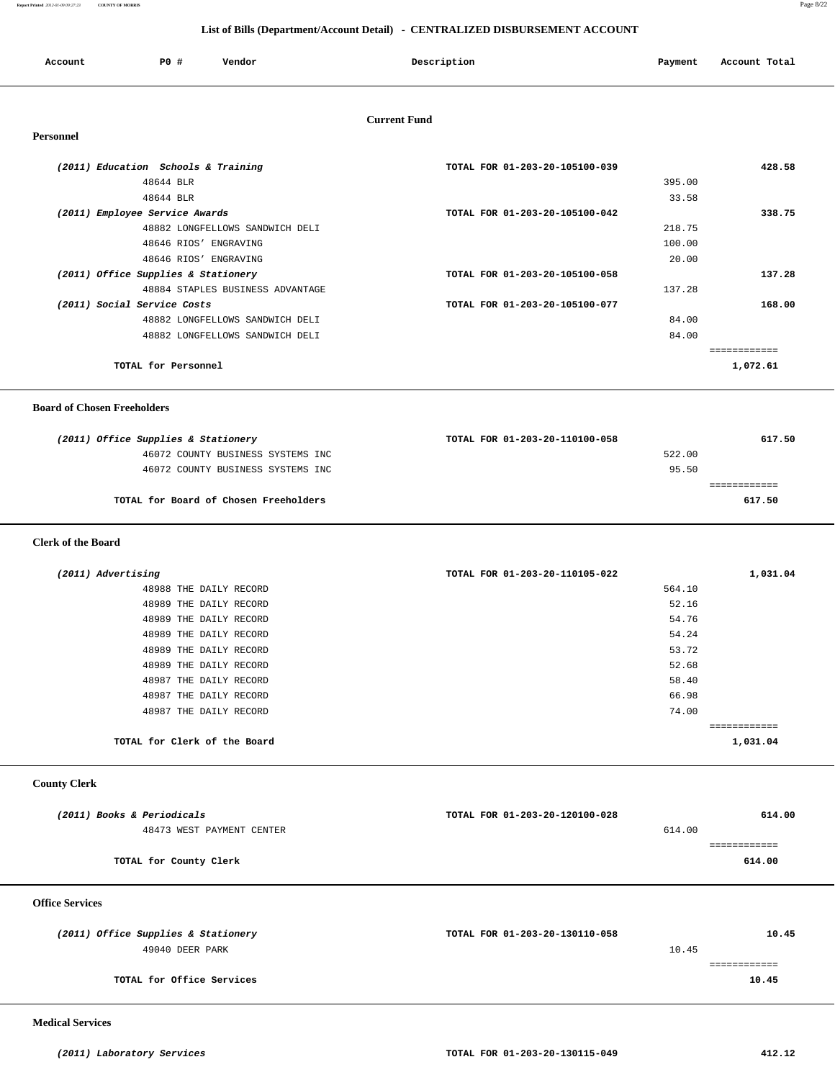**Report Printed** *2012-01-09 09:27:23* **COUNTY OF MORRIS** Page 8/22

## **List of Bills (Department/Account Detail) - CENTRALIZED DISBURSEMENT ACCOUNT**

| Account | P0 # | Vendor | Description | Payment | Account Total |
|---------|------|--------|-------------|---------|---------------|
|         |      |        |             |         |               |

## **Current Fund**

| (2011) Education Schools & Training | TOTAL FOR 01-203-20-105100-039 | 428.58       |
|-------------------------------------|--------------------------------|--------------|
| 48644 BLR                           | 395.00                         |              |
| 48644 BLR                           | 33.58                          |              |
| (2011) Employee Service Awards      | TOTAL FOR 01-203-20-105100-042 | 338.75       |
| 48882 LONGFELLOWS SANDWICH DELI     | 218.75                         |              |
| 48646 RIOS' ENGRAVING               | 100.00                         |              |
| 48646 RIOS' ENGRAVING               | 20.00                          |              |
| (2011) Office Supplies & Stationery | TOTAL FOR 01-203-20-105100-058 | 137.28       |
| 48884 STAPLES BUSINESS ADVANTAGE    | 137.28                         |              |
| (2011) Social Service Costs         | TOTAL FOR 01-203-20-105100-077 | 168.00       |
| 48882 LONGFELLOWS SANDWICH DELI     | 84.00                          |              |
| 48882 LONGFELLOWS SANDWICH DELI     | 84.00                          |              |
|                                     |                                | .=========== |
| TOTAL for Personnel                 |                                | 1,072.61     |

#### **Board of Chosen Freeholders**

| (2011) Office Supplies & Stationery   | TOTAL FOR 01-203-20-110100-058 | 617.50 |
|---------------------------------------|--------------------------------|--------|
| 46072 COUNTY BUSINESS SYSTEMS INC     | 522.00                         |        |
| 46072 COUNTY BUSINESS SYSTEMS INC     | 95.50                          |        |
|                                       |                                |        |
| TOTAL for Board of Chosen Freeholders |                                | 617.50 |
|                                       |                                |        |

#### **Clerk of the Board**

| (2011) Advertising           | TOTAL FOR 01-203-20-110105-022 | 1,031.04 |
|------------------------------|--------------------------------|----------|
| 48988 THE DAILY RECORD       | 564.10                         |          |
| 48989 THE DAILY RECORD       | 52.16                          |          |
| 48989 THE DAILY RECORD       | 54.76                          |          |
| 48989 THE DAILY RECORD       | 54.24                          |          |
| 48989 THE DAILY RECORD       | 53.72                          |          |
| 48989 THE DAILY RECORD       | 52.68                          |          |
| 48987 THE DAILY RECORD       | 58.40                          |          |
| 48987 THE DAILY RECORD       | 66.98                          |          |
| 48987 THE DAILY RECORD       | 74.00                          |          |
|                              |                                |          |
| TOTAL for Clerk of the Board |                                | 1,031.04 |

## **County Clerk**

| (2011) Books & Periodicals | TOTAL FOR 01-203-20-120100-028 | 614.00 |
|----------------------------|--------------------------------|--------|
| 48473 WEST PAYMENT CENTER  | 614.00                         |        |
|                            |                                |        |
| TOTAL for County Clerk     |                                | 614.00 |
|                            |                                |        |

#### **Office Services**

| (2011) Office Supplies & Stationery | TOTAL FOR 01-203-20-130110-058 | 10.45 |
|-------------------------------------|--------------------------------|-------|
| 49040 DEER PARK                     | 10.45                          |       |
|                                     |                                |       |
| TOTAL for Office Services           |                                | 10.45 |

 **Medical Services**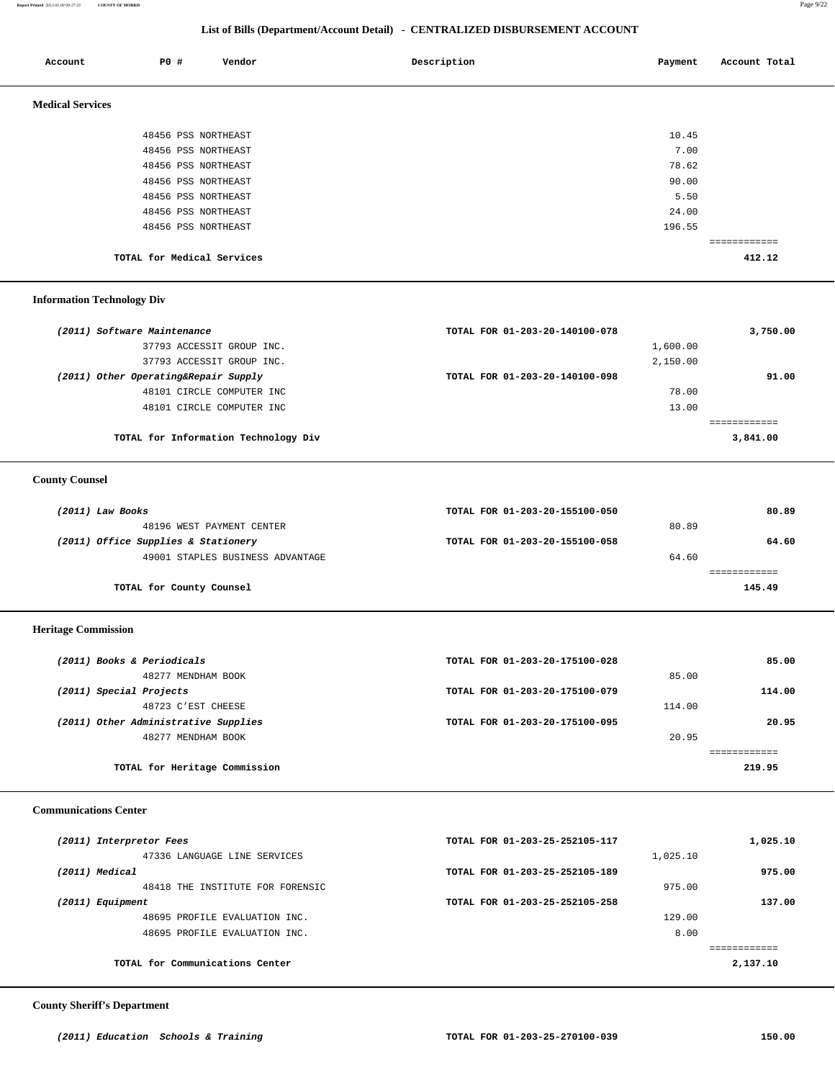**Report Printed** *2012-01-09 09:27:23* **COUNTY OF MORRIS** Page 9/22

# **List of Bills (Department/Account Detail) - CENTRALIZED DISBURSEMENT ACCOUNT**

| Account                 | P0 #                       | Vendor | Description | Payment | Account Total |
|-------------------------|----------------------------|--------|-------------|---------|---------------|
| <b>Medical Services</b> |                            |        |             |         |               |
|                         | 48456 PSS NORTHEAST        |        |             | 10.45   |               |
|                         | 48456 PSS NORTHEAST        |        |             | 7.00    |               |
|                         | 48456 PSS NORTHEAST        |        |             | 78.62   |               |
|                         | 48456 PSS NORTHEAST        |        |             | 90.00   |               |
|                         | 48456 PSS NORTHEAST        |        |             | 5.50    |               |
|                         | 48456 PSS NORTHEAST        |        |             | 24.00   |               |
|                         | 48456 PSS NORTHEAST        |        |             | 196.55  |               |
|                         |                            |        |             |         | ============  |
|                         | TOTAL for Medical Services |        |             |         | 412.12        |

## **Information Technology Div**

| (2011) Software Maintenance          |                                      | TOTAL FOR 01-203-20-140100-078 |          | 3,750.00 |
|--------------------------------------|--------------------------------------|--------------------------------|----------|----------|
|                                      | 37793 ACCESSIT GROUP INC.            |                                | 1,600.00 |          |
|                                      | 37793 ACCESSIT GROUP INC.            |                                | 2,150.00 |          |
| (2011) Other Operating&Repair Supply |                                      | TOTAL FOR 01-203-20-140100-098 |          | 91.00    |
|                                      | 48101 CIRCLE COMPUTER INC            |                                | 78.00    |          |
|                                      | 48101 CIRCLE COMPUTER INC            |                                | 13.00    |          |
|                                      |                                      |                                |          |          |
|                                      | TOTAL for Information Technology Div |                                |          | 3,841.00 |

## **County Counsel**

| (2011) Law Books |                                     | TOTAL FOR 01-203-20-155100-050 |       | 80.89  |
|------------------|-------------------------------------|--------------------------------|-------|--------|
|                  | 48196 WEST PAYMENT CENTER           |                                | 80.89 |        |
|                  | (2011) Office Supplies & Stationery | TOTAL FOR 01-203-20-155100-058 |       | 64.60  |
|                  | 49001 STAPLES BUSINESS ADVANTAGE    |                                | 64.60 |        |
|                  |                                     |                                |       |        |
|                  | TOTAL for County Counsel            |                                |       | 145.49 |

#### **Heritage Commission**

| (2011) Books & Periodicals           | TOTAL FOR 01-203-20-175100-028 | 85.00  |
|--------------------------------------|--------------------------------|--------|
| 48277 MENDHAM BOOK                   |                                | 85.00  |
| (2011) Special Projects              | TOTAL FOR 01-203-20-175100-079 | 114.00 |
| 48723 C'EST CHEESE                   |                                | 114.00 |
| (2011) Other Administrative Supplies | TOTAL FOR 01-203-20-175100-095 | 20.95  |
| 48277 MENDHAM BOOK                   |                                | 20.95  |
|                                      |                                |        |
| TOTAL for Heritage Commission        |                                | 219.95 |

#### **Communications Center**

| (2011) Interpretor Fees          | TOTAL FOR 01-203-25-252105-117 | 1,025.10 |
|----------------------------------|--------------------------------|----------|
| 47336 LANGUAGE LINE SERVICES     | 1,025.10                       |          |
| (2011) Medical                   | TOTAL FOR 01-203-25-252105-189 | 975.00   |
| 48418 THE INSTITUTE FOR FORENSIC | 975.00                         |          |
| (2011) Equipment                 | TOTAL FOR 01-203-25-252105-258 | 137.00   |
| 48695 PROFILE EVALUATION INC.    | 129.00                         |          |
| 48695 PROFILE EVALUATION INC.    | 8.00                           |          |
|                                  |                                |          |
| TOTAL for Communications Center  |                                | 2,137.10 |

## **County Sheriff's Department**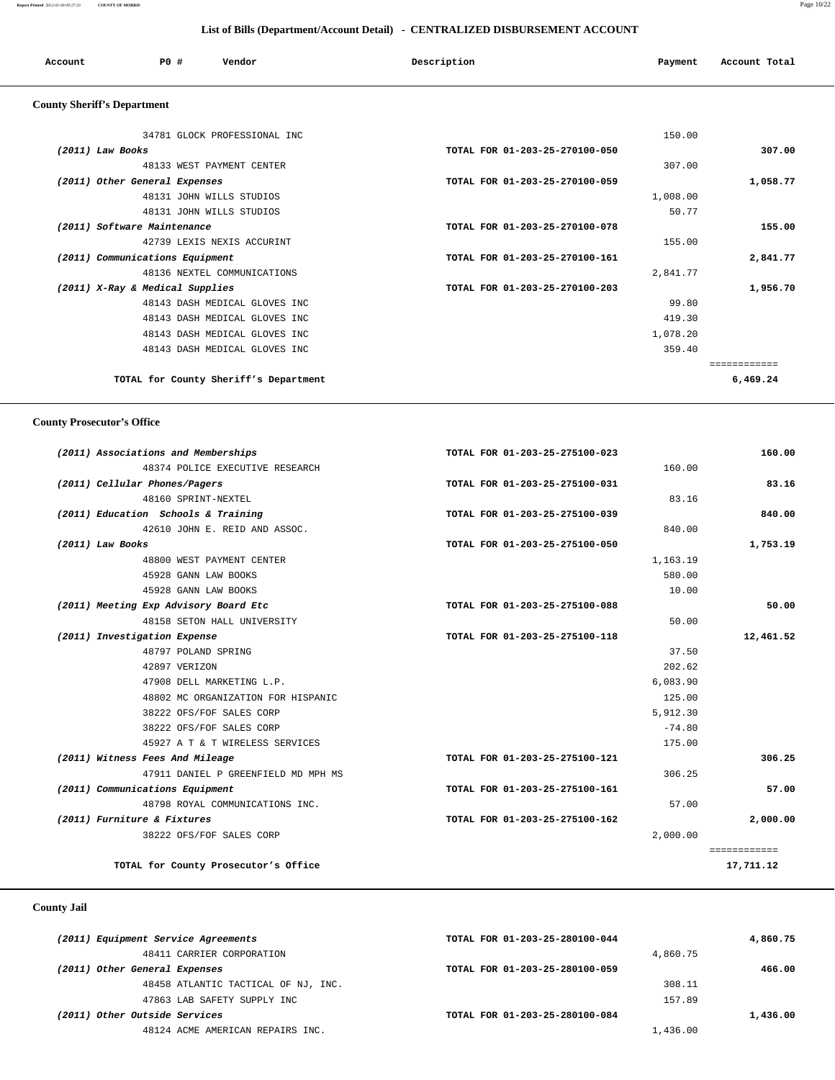#### **Report Printed** *2012-01-09 09:27:23* **COUNTY OF MORRIS** Page 10/22

 **List of Bills (Department/Account Detail) - CENTRALIZED DISBURSEMENT ACCOUNT**

|  | P0 #<br>Description<br>Vendor<br>Account<br>Payment<br>. | Account Total<br>.<br>. |  |
|--|----------------------------------------------------------|-------------------------|--|
|--|----------------------------------------------------------|-------------------------|--|

# **County Sheriff's Department**

| 34781 GLOCK PROFESSIONAL INC          | 150.00                         |          |
|---------------------------------------|--------------------------------|----------|
| $(2011)$ Law Books                    | TOTAL FOR 01-203-25-270100-050 | 307.00   |
| 48133 WEST PAYMENT CENTER             | 307.00                         |          |
| (2011) Other General Expenses         | TOTAL FOR 01-203-25-270100-059 | 1,058.77 |
| 48131 JOHN WILLS STUDIOS              | 1,008.00                       |          |
| 48131 JOHN WILLS STUDIOS              | 50.77                          |          |
| (2011) Software Maintenance           | TOTAL FOR 01-203-25-270100-078 | 155.00   |
| 42739 LEXIS NEXIS ACCURINT            | 155.00                         |          |
| (2011) Communications Equipment       | TOTAL FOR 01-203-25-270100-161 | 2,841.77 |
| 48136 NEXTEL COMMUNICATIONS           | 2,841.77                       |          |
| (2011) X-Ray & Medical Supplies       | TOTAL FOR 01-203-25-270100-203 | 1,956.70 |
| 48143 DASH MEDICAL GLOVES INC         | 99.80                          |          |
| 48143 DASH MEDICAL GLOVES INC         | 419.30                         |          |
| 48143 DASH MEDICAL GLOVES INC         | 1,078.20                       |          |
| 48143 DASH MEDICAL GLOVES INC         | 359.40                         |          |
|                                       |                                |          |
| TOTAL for County Sheriff's Department |                                | 6,469.24 |
|                                       |                                |          |

## **County Prosecutor's Office**

| (2011) Associations and Memberships   | TOTAL FOR 01-203-25-275100-023 | 160.00       |
|---------------------------------------|--------------------------------|--------------|
| 48374 POLICE EXECUTIVE RESEARCH       |                                | 160.00       |
| (2011) Cellular Phones/Pagers         | TOTAL FOR 01-203-25-275100-031 | 83.16        |
| 48160 SPRINT-NEXTEL                   |                                | 83.16        |
| (2011) Education Schools & Training   | TOTAL FOR 01-203-25-275100-039 | 840.00       |
| 42610 JOHN E. REID AND ASSOC.         |                                | 840.00       |
| (2011) Law Books                      | TOTAL FOR 01-203-25-275100-050 | 1,753.19     |
| 48800 WEST PAYMENT CENTER             |                                | 1,163.19     |
| 45928 GANN LAW BOOKS                  |                                | 580.00       |
| 45928 GANN LAW BOOKS                  |                                | 10.00        |
| (2011) Meeting Exp Advisory Board Etc | TOTAL FOR 01-203-25-275100-088 | 50.00        |
| 48158 SETON HALL UNIVERSITY           |                                | 50.00        |
| (2011) Investigation Expense          | TOTAL FOR 01-203-25-275100-118 | 12,461.52    |
| 48797 POLAND SPRING                   |                                | 37.50        |
| 42897 VERIZON                         |                                | 202.62       |
| 47908 DELL MARKETING L.P.             |                                | 6,083.90     |
| 48802 MC ORGANIZATION FOR HISPANIC    |                                | 125.00       |
| 38222 OFS/FOF SALES CORP              |                                | 5,912.30     |
| 38222 OFS/FOF SALES CORP              |                                | $-74.80$     |
| 45927 A T & T WIRELESS SERVICES       |                                | 175.00       |
| (2011) Witness Fees And Mileage       | TOTAL FOR 01-203-25-275100-121 | 306.25       |
| 47911 DANIEL P GREENFIELD MD MPH MS   |                                | 306.25       |
| (2011) Communications Equipment       | TOTAL FOR 01-203-25-275100-161 | 57.00        |
| 48798 ROYAL COMMUNICATIONS INC.       |                                | 57.00        |
| (2011) Furniture & Fixtures           | TOTAL FOR 01-203-25-275100-162 | 2,000.00     |
| 38222 OFS/FOF SALES CORP              |                                | 2,000.00     |
|                                       |                                | ============ |
| TOTAL for County Prosecutor's Office  |                                | 17,711.12    |
|                                       |                                |              |

## **County Jail**

| (2011) Equipment Service Agreements |                                     | TOTAL FOR 01-203-25-280100-044 |          | 4,860.75 |
|-------------------------------------|-------------------------------------|--------------------------------|----------|----------|
|                                     | 48411 CARRIER CORPORATION           |                                | 4,860.75 |          |
| (2011) Other General Expenses       |                                     | TOTAL FOR 01-203-25-280100-059 |          | 466.00   |
|                                     | 48458 ATLANTIC TACTICAL OF NJ, INC. |                                | 308.11   |          |
|                                     | 47863 LAB SAFETY SUPPLY INC         |                                | 157.89   |          |
| (2011) Other Outside Services       |                                     | TOTAL FOR 01-203-25-280100-084 |          | 1,436.00 |
|                                     | 48124 ACME AMERICAN REPAIRS INC.    |                                | 1,436.00 |          |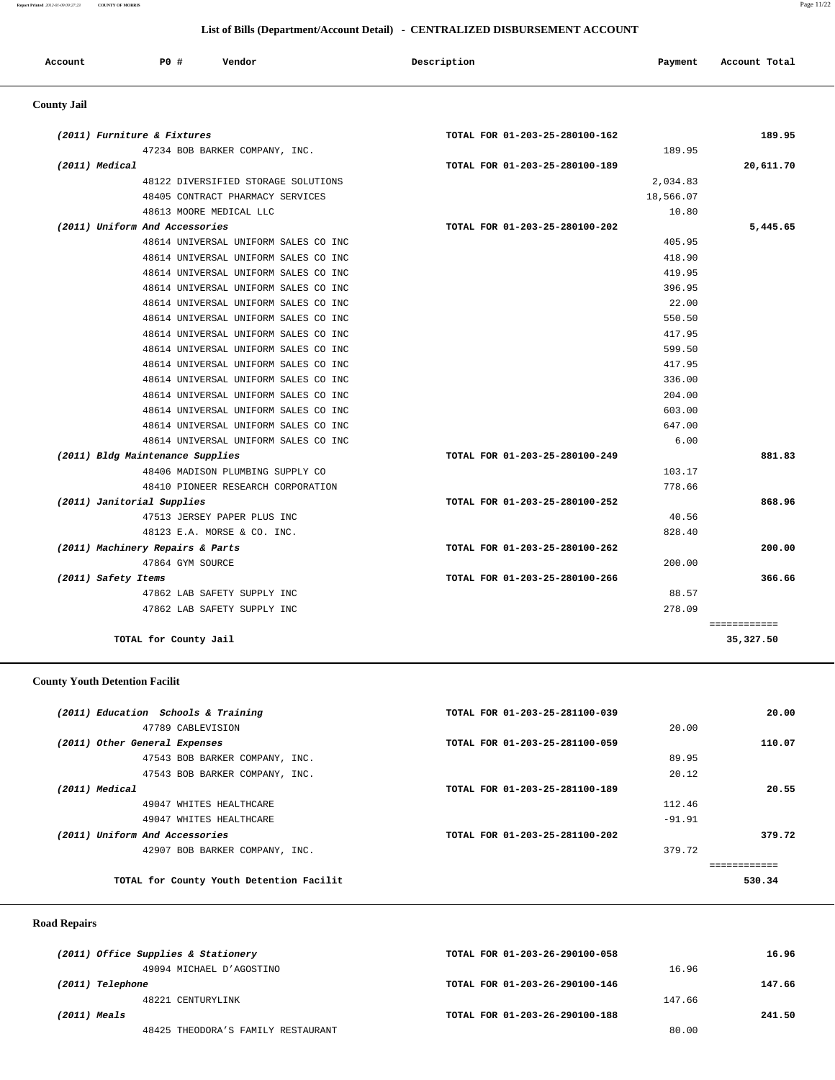## **List of Bills (Department/Account Detail) - CENTRALIZED DISBURSEMENT ACCOUNT**

| Account | P <sub>0</sub> | Vendor<br>. | Description | Payment | Account Total<br>. |
|---------|----------------|-------------|-------------|---------|--------------------|
|         |                |             |             |         |                    |

# **County Jail**

| 189.95       | TOTAL FOR 01-203-25-280100-162 | (2011) Furniture & Fixtures          |
|--------------|--------------------------------|--------------------------------------|
|              | 189.95                         | 47234 BOB BARKER COMPANY, INC.       |
| 20,611.70    | TOTAL FOR 01-203-25-280100-189 | (2011) Medical                       |
|              | 2,034.83                       | 48122 DIVERSIFIED STORAGE SOLUTIONS  |
|              | 18,566.07                      | 48405 CONTRACT PHARMACY SERVICES     |
|              | 10.80                          | 48613 MOORE MEDICAL LLC              |
| 5,445.65     | TOTAL FOR 01-203-25-280100-202 | (2011) Uniform And Accessories       |
|              | 405.95                         | 48614 UNIVERSAL UNIFORM SALES CO INC |
|              | 418.90                         | 48614 UNIVERSAL UNIFORM SALES CO INC |
|              | 419.95                         | 48614 UNIVERSAL UNIFORM SALES CO INC |
|              | 396.95                         | 48614 UNIVERSAL UNIFORM SALES CO INC |
|              | 22.00                          | 48614 UNIVERSAL UNIFORM SALES CO INC |
|              | 550.50                         | 48614 UNIVERSAL UNIFORM SALES CO INC |
|              | 417.95                         | 48614 UNIVERSAL UNIFORM SALES CO INC |
|              | 599.50                         | 48614 UNIVERSAL UNIFORM SALES CO INC |
|              | 417.95                         | 48614 UNIVERSAL UNIFORM SALES CO INC |
|              | 336.00                         | 48614 UNIVERSAL UNIFORM SALES CO INC |
|              | 204.00                         | 48614 UNIVERSAL UNIFORM SALES CO INC |
|              | 603.00                         | 48614 UNIVERSAL UNIFORM SALES CO INC |
|              | 647.00                         | 48614 UNIVERSAL UNIFORM SALES CO INC |
|              | 6.00                           | 48614 UNIVERSAL UNIFORM SALES CO INC |
| 881.83       | TOTAL FOR 01-203-25-280100-249 | (2011) Bldg Maintenance Supplies     |
|              | 103.17                         | 48406 MADISON PLUMBING SUPPLY CO     |
|              | 778.66                         | 48410 PIONEER RESEARCH CORPORATION   |
| 868.96       | TOTAL FOR 01-203-25-280100-252 | (2011) Janitorial Supplies           |
|              | 40.56                          | 47513 JERSEY PAPER PLUS INC          |
|              | 828.40                         | 48123 E.A. MORSE & CO. INC.          |
| 200.00       | TOTAL FOR 01-203-25-280100-262 | (2011) Machinery Repairs & Parts     |
|              | 200.00                         | 47864 GYM SOURCE                     |
| 366.66       | TOTAL FOR 01-203-25-280100-266 | (2011) Safety Items                  |
|              | 88.57                          | 47862 LAB SAFETY SUPPLY INC          |
|              | 278.09                         | 47862 LAB SAFETY SUPPLY INC          |
| ============ |                                |                                      |
| 35,327.50    |                                | TOTAL for County Jail                |

# **County Youth Detention Facilit**

| (2011) Education Schools & Training |                                          | TOTAL FOR 01-203-25-281100-039 |          | 20.00  |
|-------------------------------------|------------------------------------------|--------------------------------|----------|--------|
|                                     | 47789 CABLEVISION                        |                                | 20.00    |        |
| (2011) Other General Expenses       |                                          | TOTAL FOR 01-203-25-281100-059 |          | 110.07 |
|                                     | 47543 BOB BARKER COMPANY, INC.           |                                | 89.95    |        |
|                                     | 47543 BOB BARKER COMPANY, INC.           |                                | 20.12    |        |
| (2011) Medical                      |                                          | TOTAL FOR 01-203-25-281100-189 |          | 20.55  |
|                                     | 49047 WHITES HEALTHCARE                  |                                | 112.46   |        |
|                                     | 49047 WHITES HEALTHCARE                  |                                | $-91.91$ |        |
| (2011) Uniform And Accessories      |                                          | TOTAL FOR 01-203-25-281100-202 |          | 379.72 |
|                                     | 42907 BOB BARKER COMPANY, INC.           |                                | 379.72   |        |
|                                     |                                          |                                |          |        |
|                                     | TOTAL for County Youth Detention Facilit |                                |          | 530.34 |

## **Road Repairs**

| (2011) Office Supplies & Stationery | TOTAL FOR 01-203-26-290100-058 | 16.96  |
|-------------------------------------|--------------------------------|--------|
| 49094 MICHAEL D'AGOSTINO            | 16.96                          |        |
| (2011) Telephone                    | TOTAL FOR 01-203-26-290100-146 | 147.66 |
| 48221 CENTURYLINK                   | 147.66                         |        |
| (2011) Meals                        | TOTAL FOR 01-203-26-290100-188 | 241.50 |
| 48425 THEODORA'S FAMILY RESTAURANT  | 80.00                          |        |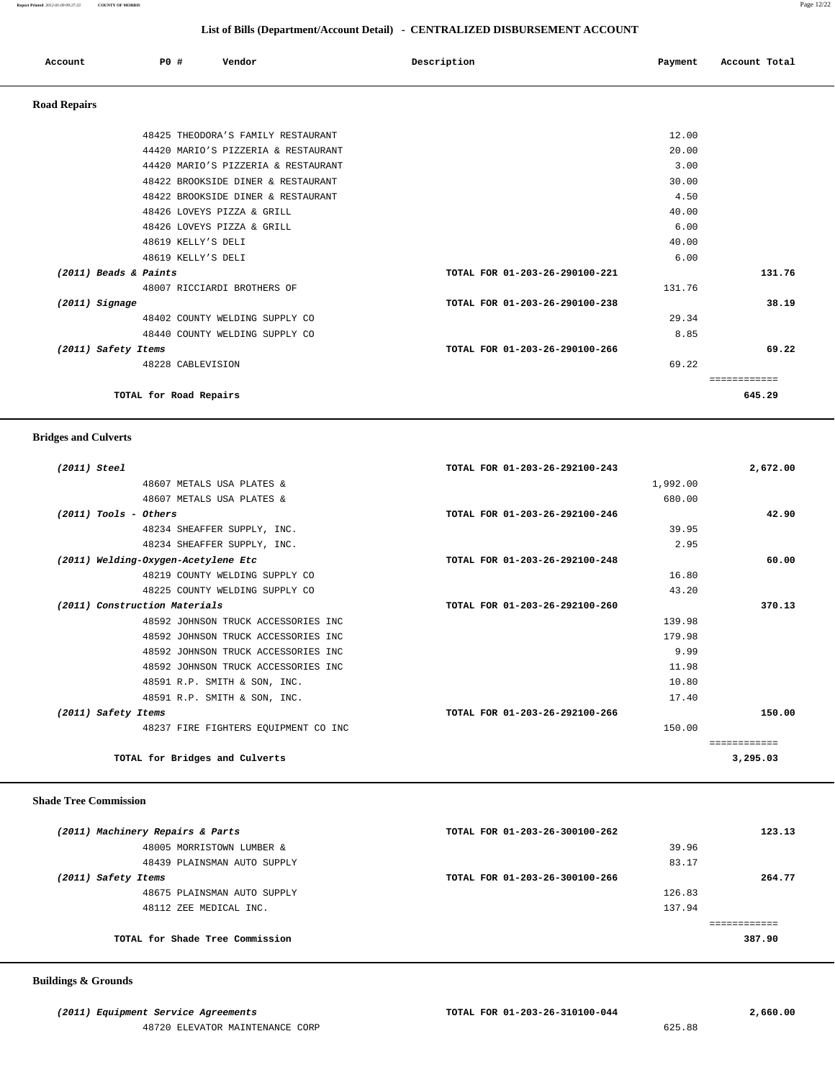**Report Printed** *2012-01-09 09:27:23* **COUNTY OF MORRIS** Page 12/22

| List of Bills (Department/Account Detail) - CENTRALIZED DISBURSEMENT ACCOUNT |     |                                     |                                |         |               |  |
|------------------------------------------------------------------------------|-----|-------------------------------------|--------------------------------|---------|---------------|--|
| Account                                                                      | PO# | Vendor                              | Description                    | Payment | Account Total |  |
| <b>Road Repairs</b>                                                          |     |                                     |                                |         |               |  |
|                                                                              |     | 48425 THEODORA'S FAMILY RESTAURANT  |                                | 12.00   |               |  |
|                                                                              |     | 44420 MARIO'S PIZZERIA & RESTAURANT |                                | 20.00   |               |  |
|                                                                              |     | 44420 MARIO'S PIZZERIA & RESTAURANT |                                | 3.00    |               |  |
|                                                                              |     | 48422 BROOKSIDE DINER & RESTAURANT  |                                | 30.00   |               |  |
|                                                                              |     | 48422 BROOKSIDE DINER & RESTAURANT  |                                | 4.50    |               |  |
|                                                                              |     | 48426 LOVEYS PIZZA & GRILL          |                                | 40.00   |               |  |
|                                                                              |     | 48426 LOVEYS PIZZA & GRILL          |                                | 6.00    |               |  |
|                                                                              |     | 48619 KELLY'S DELI                  |                                | 40.00   |               |  |
|                                                                              |     | 48619 KELLY'S DELI                  |                                | 6.00    |               |  |
| (2011) Beads & Paints                                                        |     |                                     | TOTAL FOR 01-203-26-290100-221 |         | 131.76        |  |
|                                                                              |     | 48007 RICCIARDI BROTHERS OF         |                                | 131.76  |               |  |
| $(2011)$ Signage                                                             |     |                                     | TOTAL FOR 01-203-26-290100-238 |         | 38.19         |  |

 48402 COUNTY WELDING SUPPLY CO 29.34 48440 COUNTY WELDING SUPPLY CO 8.85  **(2011) Safety Items TOTAL FOR 01-203-26-290100-266 69.22** 48228 CABLEVISION 69.22

**TOTAL for Road Repairs 645.29**

============

 **Bridges and Culverts (2011) Steel TOTAL FOR 01-203-26-292100-243 2,672.00** 48607 METALS USA PLATES & 1,992.00 48607 METALS USA PLATES & 680.00  **(2011) Tools - Others TOTAL FOR 01-203-26-292100-246 42.90** 48234 SHEAFFER SUPPLY, INC. 39.95 48234 SHEAFFER SUPPLY, INC. 2.95  **(2011) Welding-Oxygen-Acetylene Etc TOTAL FOR 01-203-26-292100-248 60.00** 48219 COUNTY WELDING SUPPLY CO 16.80 48225 COUNTY WELDING SUPPLY CO 43.20  **(2011) Construction Materials TOTAL FOR 01-203-26-292100-260 370.13** 48592 JOHNSON TRUCK ACCESSORIES INC 139.98 48592 JOHNSON TRUCK ACCESSORIES INC 179.98 48592 JOHNSON TRUCK ACCESSORIES INC 9.99 48592 JOHNSON TRUCK ACCESSORIES INC 11.98 48591 R.P. SMITH & SON, INC. 10.80 48591 R.P. SMITH & SON, INC. 17.40  **(2011) Safety Items TOTAL FOR 01-203-26-292100-266 150.00** 48237 FIRE FIGHTERS EQUIPMENT CO INC 150.00 ============ **TOTAL for Bridges and Culverts 3,295.03**

#### **Shade Tree Commission**

| (2011) Machinery Repairs & Parts | TOTAL FOR 01-203-26-300100-262 | 123.13 |
|----------------------------------|--------------------------------|--------|
| 48005 MORRISTOWN LUMBER &        | 39.96                          |        |
| 48439 PLAINSMAN AUTO SUPPLY      | 83.17                          |        |
| (2011) Safety Items              | TOTAL FOR 01-203-26-300100-266 | 264.77 |
| 48675 PLAINSMAN AUTO SUPPLY      | 126.83                         |        |
| 48112 ZEE MEDICAL INC.           | 137.94                         |        |
|                                  |                                |        |
| TOTAL for Shade Tree Commission  |                                | 387.90 |
|                                  |                                |        |

#### **Buildings & Grounds**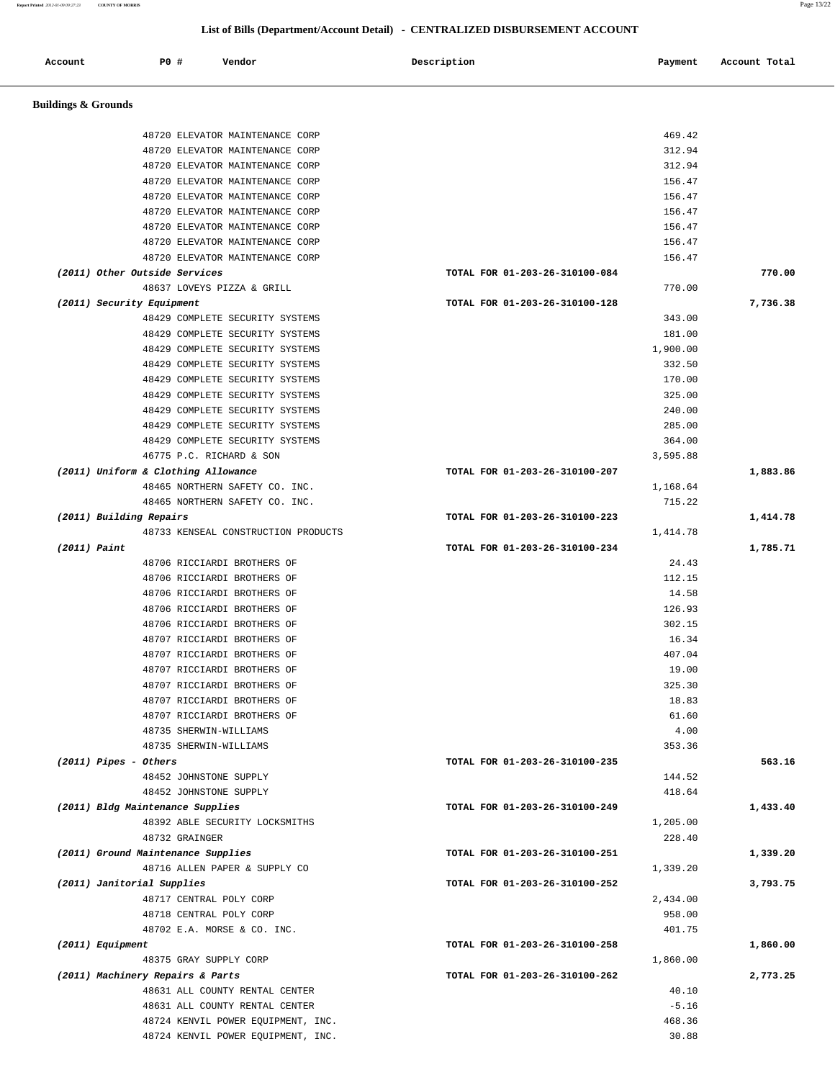**Report Printed** *2012-01-09 09:27:23* **COUNTY OF MORRIS** Page 13/22

# **List of Bills (Department/Account Detail) - CENTRALIZED DISBURSEMENT ACCOUNT**

| Account                             | <b>PO #</b> |                        | Vendor                                                             | Description                    | Payment            | Account Total |
|-------------------------------------|-------------|------------------------|--------------------------------------------------------------------|--------------------------------|--------------------|---------------|
| <b>Buildings &amp; Grounds</b>      |             |                        |                                                                    |                                |                    |               |
|                                     |             |                        | 48720 ELEVATOR MAINTENANCE CORP                                    |                                | 469.42             |               |
|                                     |             |                        | 48720 ELEVATOR MAINTENANCE CORP                                    |                                | 312.94             |               |
|                                     |             |                        | 48720 ELEVATOR MAINTENANCE CORP                                    |                                | 312.94             |               |
|                                     |             |                        | 48720 ELEVATOR MAINTENANCE CORP                                    |                                | 156.47             |               |
|                                     |             |                        | 48720 ELEVATOR MAINTENANCE CORP                                    |                                | 156.47             |               |
|                                     |             |                        | 48720 ELEVATOR MAINTENANCE CORP                                    |                                | 156.47             |               |
|                                     |             |                        | 48720 ELEVATOR MAINTENANCE CORP                                    |                                | 156.47             |               |
|                                     |             |                        | 48720 ELEVATOR MAINTENANCE CORP                                    |                                | 156.47             |               |
|                                     |             |                        | 48720 ELEVATOR MAINTENANCE CORP                                    |                                | 156.47             |               |
| (2011) Other Outside Services       |             |                        |                                                                    | TOTAL FOR 01-203-26-310100-084 |                    | 770.00        |
|                                     |             |                        | 48637 LOVEYS PIZZA & GRILL                                         |                                | 770.00             |               |
| (2011) Security Equipment           |             |                        |                                                                    | TOTAL FOR 01-203-26-310100-128 |                    | 7,736.38      |
|                                     |             |                        | 48429 COMPLETE SECURITY SYSTEMS                                    |                                | 343.00             |               |
|                                     |             |                        | 48429 COMPLETE SECURITY SYSTEMS                                    |                                | 181.00             |               |
|                                     |             |                        | 48429 COMPLETE SECURITY SYSTEMS                                    |                                | 1,900.00           |               |
|                                     |             |                        | 48429 COMPLETE SECURITY SYSTEMS<br>48429 COMPLETE SECURITY SYSTEMS |                                | 332.50<br>170.00   |               |
|                                     |             |                        | 48429 COMPLETE SECURITY SYSTEMS                                    |                                | 325.00             |               |
|                                     |             |                        | 48429 COMPLETE SECURITY SYSTEMS                                    |                                | 240.00             |               |
|                                     |             |                        | 48429 COMPLETE SECURITY SYSTEMS                                    |                                | 285.00             |               |
|                                     |             |                        | 48429 COMPLETE SECURITY SYSTEMS                                    |                                | 364.00             |               |
|                                     |             |                        | 46775 P.C. RICHARD & SON                                           |                                | 3,595.88           |               |
| (2011) Uniform & Clothing Allowance |             |                        |                                                                    | TOTAL FOR 01-203-26-310100-207 |                    | 1,883.86      |
|                                     |             |                        | 48465 NORTHERN SAFETY CO. INC.                                     |                                | 1,168.64           |               |
|                                     |             |                        | 48465 NORTHERN SAFETY CO. INC.                                     |                                | 715.22             |               |
| (2011) Building Repairs             |             |                        |                                                                    | TOTAL FOR 01-203-26-310100-223 |                    | 1,414.78      |
|                                     |             |                        | 48733 KENSEAL CONSTRUCTION PRODUCTS                                |                                | 1,414.78           |               |
| $(2011)$ Paint                      |             |                        |                                                                    | TOTAL FOR 01-203-26-310100-234 |                    | 1,785.71      |
|                                     |             |                        | 48706 RICCIARDI BROTHERS OF                                        |                                | 24.43              |               |
|                                     |             |                        | 48706 RICCIARDI BROTHERS OF                                        |                                | 112.15             |               |
|                                     |             |                        | 48706 RICCIARDI BROTHERS OF                                        |                                | 14.58              |               |
|                                     |             |                        | 48706 RICCIARDI BROTHERS OF                                        |                                | 126.93             |               |
|                                     |             |                        | 48706 RICCIARDI BROTHERS OF                                        |                                | 302.15             |               |
|                                     |             |                        | 48707 RICCIARDI BROTHERS OF<br>48707 RICCIARDI BROTHERS OF         |                                | 16.34<br>407.04    |               |
|                                     |             |                        | 48707 RICCIARDI BROTHERS OF                                        |                                | 19.00              |               |
|                                     |             |                        | 48707 RICCIARDI BROTHERS OF                                        |                                | 325.30             |               |
|                                     |             |                        | 48707 RICCIARDI BROTHERS OF                                        |                                | 18.83              |               |
|                                     |             |                        | 48707 RICCIARDI BROTHERS OF                                        |                                | 61.60              |               |
|                                     |             | 48735 SHERWIN-WILLIAMS |                                                                    |                                | 4.00               |               |
|                                     |             | 48735 SHERWIN-WILLIAMS |                                                                    |                                | 353.36             |               |
| $(2011)$ Pipes - Others             |             |                        |                                                                    | TOTAL FOR 01-203-26-310100-235 |                    | 563.16        |
|                                     |             | 48452 JOHNSTONE SUPPLY |                                                                    |                                | 144.52             |               |
|                                     |             | 48452 JOHNSTONE SUPPLY |                                                                    |                                | 418.64             |               |
| (2011) Bldg Maintenance Supplies    |             |                        |                                                                    | TOTAL FOR 01-203-26-310100-249 |                    | 1,433.40      |
|                                     |             |                        | 48392 ABLE SECURITY LOCKSMITHS                                     |                                | 1,205.00           |               |
|                                     |             | 48732 GRAINGER         |                                                                    |                                | 228.40             |               |
| (2011) Ground Maintenance Supplies  |             |                        |                                                                    | TOTAL FOR 01-203-26-310100-251 |                    | 1,339.20      |
|                                     |             |                        | 48716 ALLEN PAPER & SUPPLY CO                                      |                                | 1,339.20           |               |
| (2011) Janitorial Supplies          |             |                        |                                                                    | TOTAL FOR 01-203-26-310100-252 |                    | 3,793.75      |
|                                     |             |                        | 48717 CENTRAL POLY CORP<br>48718 CENTRAL POLY CORP                 |                                | 2,434.00<br>958.00 |               |
|                                     |             |                        | 48702 E.A. MORSE & CO. INC.                                        |                                | 401.75             |               |
| (2011) Equipment                    |             |                        |                                                                    | TOTAL FOR 01-203-26-310100-258 |                    | 1,860.00      |
|                                     |             | 48375 GRAY SUPPLY CORP |                                                                    |                                | 1,860.00           |               |
| (2011) Machinery Repairs & Parts    |             |                        |                                                                    | TOTAL FOR 01-203-26-310100-262 |                    | 2,773.25      |
|                                     |             |                        | 48631 ALL COUNTY RENTAL CENTER                                     |                                | 40.10              |               |
|                                     |             |                        | 48631 ALL COUNTY RENTAL CENTER                                     |                                | $-5.16$            |               |
|                                     |             |                        | 48724 KENVIL POWER EQUIPMENT, INC.                                 |                                | 468.36             |               |
|                                     |             |                        | 48724 KENVIL POWER EQUIPMENT, INC.                                 |                                | 30.88              |               |
|                                     |             |                        |                                                                    |                                |                    |               |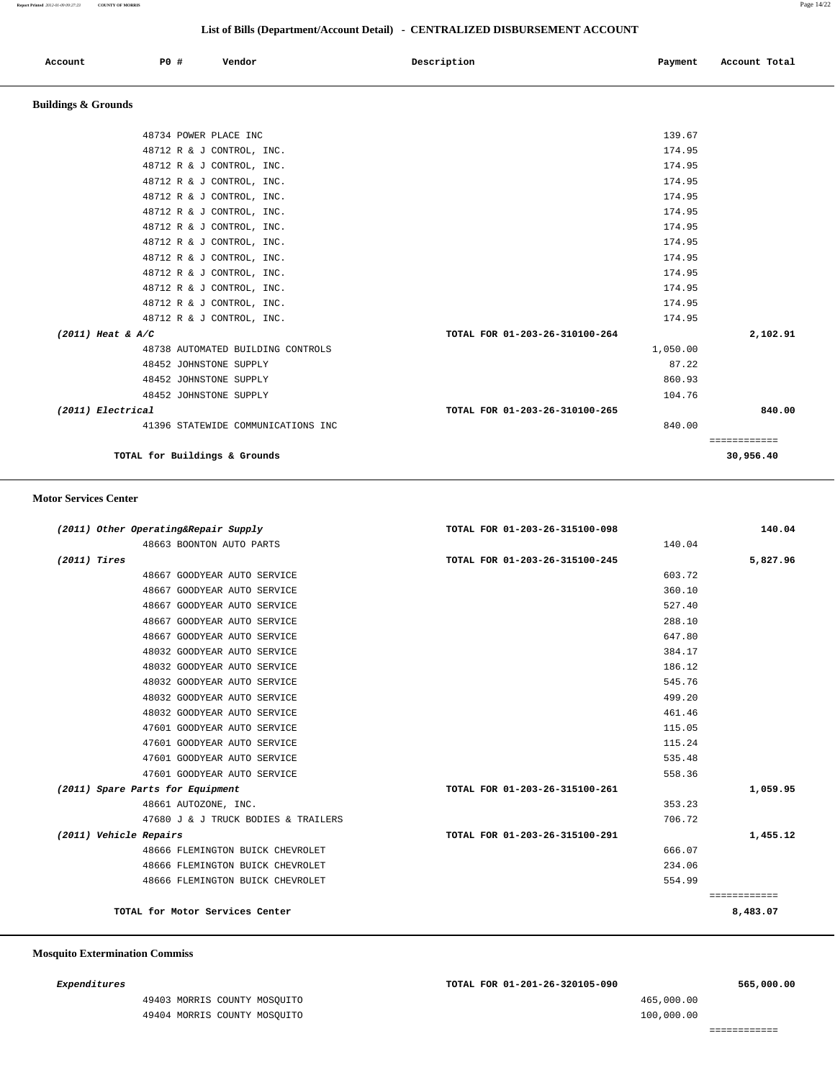## **List of Bills (Department/Account Detail) - CENTRALIZED DISBURSEMENT ACCOUNT**

| Account | $P0$ $\overline{r}$ | Vendor | Description | Payment | Account Total |
|---------|---------------------|--------|-------------|---------|---------------|
|         |                     |        |             |         |               |

## **Buildings & Grounds**

| TOTAL for Buildings & Grounds      |                                | 30,956.40    |
|------------------------------------|--------------------------------|--------------|
|                                    |                                | ============ |
| 41396 STATEWIDE COMMUNICATIONS INC | 840.00                         |              |
| (2011) Electrical                  | TOTAL FOR 01-203-26-310100-265 | 840.00       |
| 48452 JOHNSTONE SUPPLY             | 104.76                         |              |
| 48452 JOHNSTONE SUPPLY             | 860.93                         |              |
| 48452 JOHNSTONE SUPPLY             | 87.22                          |              |
| 48738 AUTOMATED BUILDING CONTROLS  | 1,050.00                       |              |
| $(2011)$ Heat & A/C                | TOTAL FOR 01-203-26-310100-264 | 2,102.91     |
| 48712 R & J CONTROL, INC.          | 174.95                         |              |
| 48712 R & J CONTROL, INC.          | 174.95                         |              |
| 48712 R & J CONTROL, INC.          | 174.95                         |              |
| 48712 R & J CONTROL, INC.          | 174.95                         |              |
| 48712 R & J CONTROL, INC.          | 174.95                         |              |
| 48712 R & J CONTROL, INC.          | 174.95                         |              |
| 48712 R & J CONTROL, INC.          | 174.95                         |              |
| 48712 R & J CONTROL, INC.          | 174.95                         |              |
| 48712 R & J CONTROL, INC.          | 174.95                         |              |
| 48712 R & J CONTROL, INC.          | 174.95                         |              |
| 48712 R & J CONTROL, INC.          | 174.95                         |              |
| 48712 R & J CONTROL, INC.          | 174.95                         |              |
| 48734 POWER PLACE INC              | 139.67                         |              |
|                                    |                                |              |

#### **Motor Services Center**

| 140.04                   |        | TOTAL FOR 01-203-26-315100-098 | (2011) Other Operating&Repair Supply |                        |
|--------------------------|--------|--------------------------------|--------------------------------------|------------------------|
|                          | 140.04 |                                | 48663 BOONTON AUTO PARTS             |                        |
| 5,827.96                 |        | TOTAL FOR 01-203-26-315100-245 |                                      | (2011) Tires           |
|                          | 603.72 |                                | 48667 GOODYEAR AUTO SERVICE          |                        |
|                          | 360.10 |                                | 48667 GOODYEAR AUTO SERVICE          |                        |
|                          | 527.40 |                                | 48667 GOODYEAR AUTO SERVICE          |                        |
|                          | 288.10 |                                | 48667 GOODYEAR AUTO SERVICE          |                        |
|                          | 647.80 |                                | 48667 GOODYEAR AUTO SERVICE          |                        |
|                          | 384.17 |                                | 48032 GOODYEAR AUTO SERVICE          |                        |
|                          | 186.12 |                                | 48032 GOODYEAR AUTO SERVICE          |                        |
|                          | 545.76 |                                | 48032 GOODYEAR AUTO SERVICE          |                        |
|                          | 499.20 |                                | 48032 GOODYEAR AUTO SERVICE          |                        |
|                          | 461.46 |                                | 48032 GOODYEAR AUTO SERVICE          |                        |
|                          | 115.05 |                                | 47601 GOODYEAR AUTO SERVICE          |                        |
|                          | 115.24 |                                | 47601 GOODYEAR AUTO SERVICE          |                        |
|                          | 535.48 |                                | 47601 GOODYEAR AUTO SERVICE          |                        |
|                          | 558.36 |                                | 47601 GOODYEAR AUTO SERVICE          |                        |
| 1,059.95                 |        | TOTAL FOR 01-203-26-315100-261 | (2011) Spare Parts for Equipment     |                        |
|                          | 353.23 |                                | 48661 AUTOZONE, INC.                 |                        |
|                          | 706.72 |                                | 47680 J & J TRUCK BODIES & TRAILERS  |                        |
| 1,455.12                 |        | TOTAL FOR 01-203-26-315100-291 |                                      | (2011) Vehicle Repairs |
|                          | 666.07 |                                | 48666 FLEMINGTON BUICK CHEVROLET     |                        |
|                          | 234.06 |                                | 48666 FLEMINGTON BUICK CHEVROLET     |                        |
|                          | 554.99 |                                | 48666 FLEMINGTON BUICK CHEVROLET     |                        |
| ============<br>8,483.07 |        |                                | TOTAL for Motor Services Center      |                        |

#### **Mosquito Extermination Commiss**

 49403 MORRIS COUNTY MOSQUITO 465,000.00 49404 MORRIS COUNTY MOSQUITO 100,000.00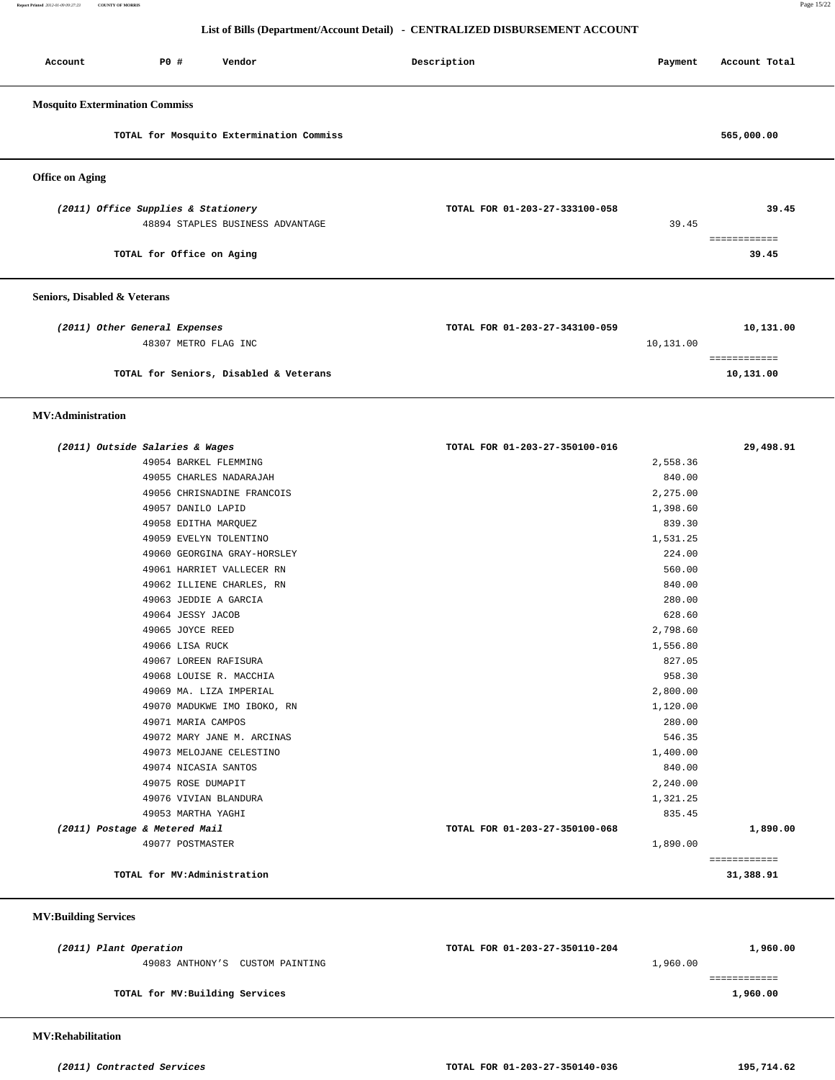**Report Printed** *2012-01-09 09:27:23* **COUNTY OF MORRIS** Page 15/22

## **List of Bills (Department/Account Detail) - CENTRALIZED DISBURSEMENT ACCOUNT**

| Account                               | P0 #                                | Vendor                                   | Description                    | Payment   | Account Total |
|---------------------------------------|-------------------------------------|------------------------------------------|--------------------------------|-----------|---------------|
| <b>Mosquito Extermination Commiss</b> |                                     |                                          |                                |           |               |
|                                       |                                     | TOTAL for Mosquito Extermination Commiss |                                |           | 565,000.00    |
| <b>Office on Aging</b>                |                                     |                                          |                                |           |               |
|                                       | (2011) Office Supplies & Stationery |                                          | TOTAL FOR 01-203-27-333100-058 |           | 39.45         |
|                                       |                                     | 48894 STAPLES BUSINESS ADVANTAGE         |                                | 39.45     | ============  |
|                                       | TOTAL for Office on Aging           |                                          |                                |           | 39.45         |
| Seniors, Disabled & Veterans          |                                     |                                          |                                |           |               |
|                                       | (2011) Other General Expenses       |                                          | TOTAL FOR 01-203-27-343100-059 |           | 10,131.00     |
|                                       | 48307 METRO FLAG INC                |                                          |                                | 10,131.00 | ============  |
|                                       |                                     | TOTAL for Seniors, Disabled & Veterans   |                                |           | 10,131.00     |

#### **MV:Administration**

| (2011) Outside Salaries & Wages | TOTAL FOR 01-203-27-350100-016 | 29,498.91    |
|---------------------------------|--------------------------------|--------------|
| 49054 BARKEL FLEMMING           | 2,558.36                       |              |
| 49055 CHARLES NADARAJAH         | 840.00                         |              |
| 49056 CHRISNADINE FRANCOIS      | 2,275.00                       |              |
| 49057 DANILO LAPID              | 1,398.60                       |              |
| 49058 EDITHA MARQUEZ            | 839.30                         |              |
| 49059 EVELYN TOLENTINO          | 1,531.25                       |              |
| 49060 GEORGINA GRAY-HORSLEY     | 224.00                         |              |
| 49061 HARRIET VALLECER RN       | 560.00                         |              |
| 49062 ILLIENE CHARLES, RN       | 840.00                         |              |
| 49063 JEDDIE A GARCIA           | 280.00                         |              |
| 49064 JESSY JACOB               | 628.60                         |              |
| 49065 JOYCE REED                | 2,798.60                       |              |
| 49066 LISA RUCK                 | 1,556.80                       |              |
| 49067 LOREEN RAFISURA           | 827.05                         |              |
| 49068 LOUISE R. MACCHIA         | 958.30                         |              |
| 49069 MA. LIZA IMPERIAL         | 2,800.00                       |              |
| 49070 MADUKWE IMO IBOKO, RN     | 1,120.00                       |              |
| 49071 MARIA CAMPOS              | 280.00                         |              |
| 49072 MARY JANE M. ARCINAS      | 546.35                         |              |
| 49073 MELOJANE CELESTINO        | 1,400.00                       |              |
| 49074 NICASIA SANTOS            | 840.00                         |              |
| 49075 ROSE DUMAPIT              | 2,240.00                       |              |
| 49076 VIVIAN BLANDURA           | 1,321.25                       |              |
| 49053 MARTHA YAGHI              | 835.45                         |              |
| (2011) Postage & Metered Mail   | TOTAL FOR 01-203-27-350100-068 | 1,890.00     |
| 49077 POSTMASTER                | 1,890.00                       |              |
|                                 |                                | ============ |
| TOTAL for MV:Administration     |                                | 31,388.91    |
|                                 |                                |              |

## **MV:Building Services**

| (2011) Plant Operation          | TOTAL FOR 01-203-27-350110-204 | 1,960.00 |
|---------------------------------|--------------------------------|----------|
| 49083 ANTHONY'S CUSTOM PAINTING | 1,960.00                       |          |
|                                 |                                |          |
| TOTAL for MV: Building Services |                                | 1,960.00 |
|                                 |                                |          |

 **MV:Rehabilitation**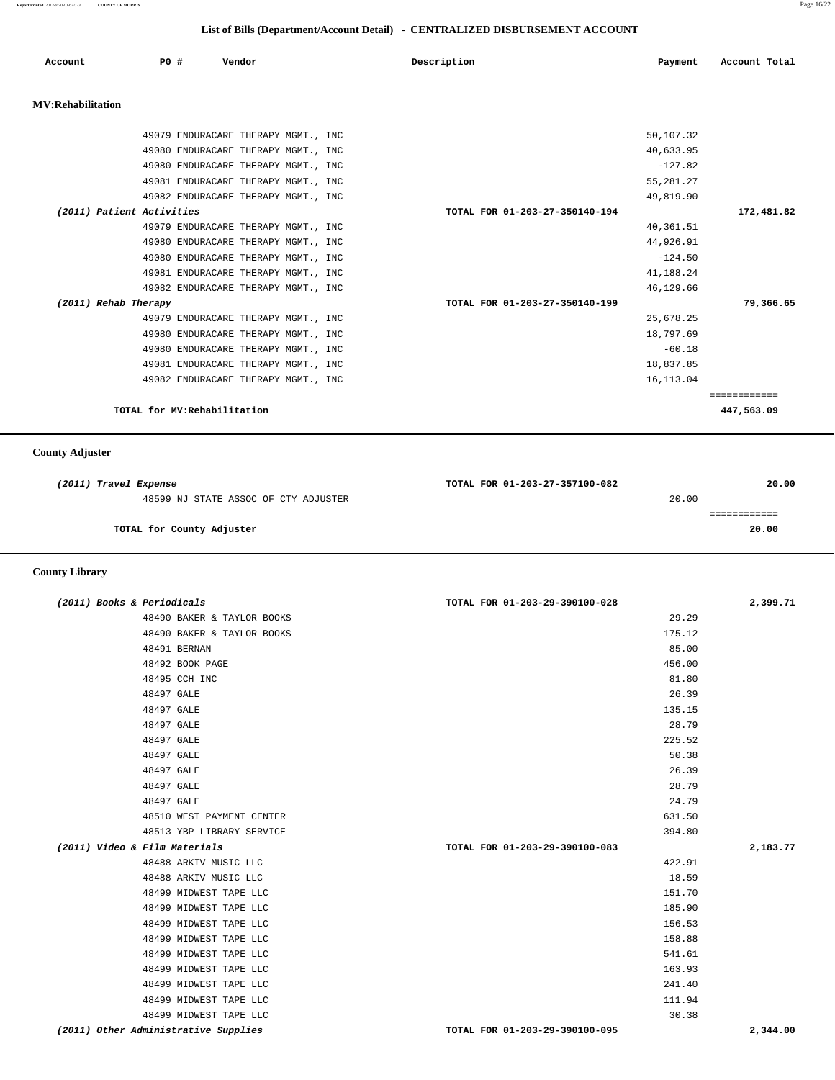**Report Printed** *2012-01-09 09:27:23* **COUNTY OF MORRIS** Page 16/22

## **List of Bills (Department/Account Detail) - CENTRALIZED DISBURSEMENT ACCOUNT**

| Account                   | PO# |                              | Vendor                              | Description                    | Payment    | Account Total              |
|---------------------------|-----|------------------------------|-------------------------------------|--------------------------------|------------|----------------------------|
| <b>MV:Rehabilitation</b>  |     |                              |                                     |                                |            |                            |
|                           |     |                              | 49079 ENDURACARE THERAPY MGMT., INC |                                | 50,107.32  |                            |
|                           |     |                              | 49080 ENDURACARE THERAPY MGMT., INC |                                | 40,633.95  |                            |
|                           |     |                              | 49080 ENDURACARE THERAPY MGMT., INC |                                | $-127.82$  |                            |
|                           |     |                              | 49081 ENDURACARE THERAPY MGMT., INC |                                | 55, 281.27 |                            |
|                           |     |                              | 49082 ENDURACARE THERAPY MGMT., INC |                                | 49,819.90  |                            |
| (2011) Patient Activities |     |                              |                                     | TOTAL FOR 01-203-27-350140-194 |            | 172,481.82                 |
|                           |     |                              | 49079 ENDURACARE THERAPY MGMT., INC |                                | 40,361.51  |                            |
|                           |     |                              | 49080 ENDURACARE THERAPY MGMT., INC |                                | 44,926.91  |                            |
|                           |     |                              | 49080 ENDURACARE THERAPY MGMT., INC |                                | $-124.50$  |                            |
|                           |     |                              | 49081 ENDURACARE THERAPY MGMT., INC |                                | 41,188.24  |                            |
|                           |     |                              | 49082 ENDURACARE THERAPY MGMT., INC |                                | 46,129.66  |                            |
| (2011) Rehab Therapy      |     |                              |                                     | TOTAL FOR 01-203-27-350140-199 |            | 79,366.65                  |
|                           |     |                              | 49079 ENDURACARE THERAPY MGMT., INC |                                | 25,678.25  |                            |
|                           |     |                              | 49080 ENDURACARE THERAPY MGMT., INC |                                | 18,797.69  |                            |
|                           |     |                              | 49080 ENDURACARE THERAPY MGMT., INC |                                | $-60.18$   |                            |
|                           |     |                              | 49081 ENDURACARE THERAPY MGMT., INC |                                | 18,837.85  |                            |
|                           |     |                              | 49082 ENDURACARE THERAPY MGMT., INC |                                | 16, 113.04 |                            |
|                           |     | TOTAL for MV: Rehabilitation |                                     |                                |            | ============<br>447,563.09 |

## **County Adjuster**

| (2011) Travel Expense                | TOTAL FOR 01-203-27-357100-082 | 20.00 |
|--------------------------------------|--------------------------------|-------|
| 48599 NJ STATE ASSOC OF CTY ADJUSTER | 20.00                          |       |
|                                      |                                |       |
| TOTAL for County Adjuster            |                                | 20.00 |

## **County Library**

| (2011) Books & Periodicals           | TOTAL FOR 01-203-29-390100-028 | 2,399.71 |
|--------------------------------------|--------------------------------|----------|
| 48490 BAKER & TAYLOR BOOKS           | 29.29                          |          |
| 48490 BAKER & TAYLOR BOOKS           | 175.12                         |          |
| 48491 BERNAN                         | 85.00                          |          |
| 48492 BOOK PAGE                      | 456.00                         |          |
| 48495 CCH INC                        | 81.80                          |          |
| 48497 GALE                           | 26.39                          |          |
| 48497 GALE                           | 135.15                         |          |
| 48497 GALE                           | 28.79                          |          |
| 48497 GALE                           | 225.52                         |          |
| 48497 GALE                           | 50.38                          |          |
| 48497 GALE                           | 26.39                          |          |
| 48497 GALE                           | 28.79                          |          |
| 48497 GALE                           | 24.79                          |          |
| 48510 WEST PAYMENT CENTER            | 631.50                         |          |
| 48513 YBP LIBRARY SERVICE            | 394.80                         |          |
| (2011) Video & Film Materials        | TOTAL FOR 01-203-29-390100-083 | 2,183.77 |
| 48488 ARKIV MUSIC LLC                | 422.91                         |          |
| 48488 ARKIV MUSIC LLC                | 18.59                          |          |
| 48499 MIDWEST TAPE LLC               | 151.70                         |          |
| 48499 MIDWEST TAPE LLC               | 185.90                         |          |
| 48499 MIDWEST TAPE LLC               | 156.53                         |          |
| 48499 MIDWEST TAPE LLC               | 158.88                         |          |
| 48499 MIDWEST TAPE LLC               | 541.61                         |          |
| 48499 MIDWEST TAPE LLC               | 163.93                         |          |
| 48499 MIDWEST TAPE LLC               | 241.40                         |          |
| 48499 MIDWEST TAPE LLC               | 111.94                         |          |
| 48499 MIDWEST TAPE LLC               | 30.38                          |          |
| (2011) Other Administrative Supplies | TOTAL FOR 01-203-29-390100-095 | 2,344.00 |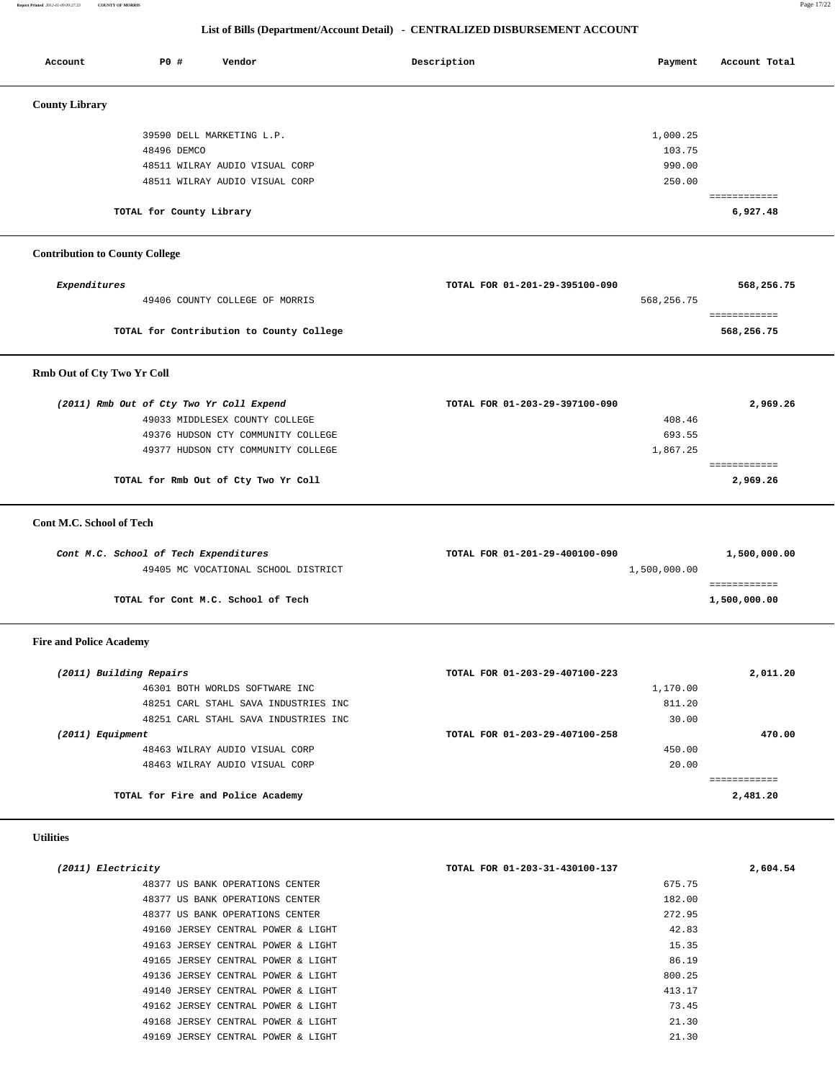**Report Printed** *2012-01-09 09:27:23* **COUNTY OF MORRIS** Page 17/22

# **List of Bills (Department/Account Detail) - CENTRALIZED DISBURSEMENT ACCOUNT**

| Account                               | P0 #                                     | Vendor                                   | Description                    | Payment      | Account Total            |
|---------------------------------------|------------------------------------------|------------------------------------------|--------------------------------|--------------|--------------------------|
| <b>County Library</b>                 |                                          |                                          |                                |              |                          |
|                                       | 39590 DELL MARKETING L.P.                |                                          |                                | 1,000.25     |                          |
|                                       | 48496 DEMCO                              |                                          |                                | 103.75       |                          |
|                                       |                                          | 48511 WILRAY AUDIO VISUAL CORP           |                                | 990.00       |                          |
|                                       |                                          | 48511 WILRAY AUDIO VISUAL CORP           |                                | 250.00       |                          |
|                                       | TOTAL for County Library                 |                                          |                                |              | ============<br>6,927.48 |
| <b>Contribution to County College</b> |                                          |                                          |                                |              |                          |
|                                       |                                          |                                          |                                |              |                          |
| Expenditures                          |                                          |                                          | TOTAL FOR 01-201-29-395100-090 |              | 568,256.75               |
|                                       |                                          | 49406 COUNTY COLLEGE OF MORRIS           |                                | 568,256.75   | ============             |
|                                       |                                          | TOTAL for Contribution to County College |                                |              | 568,256.75               |
| Rmb Out of Cty Two Yr Coll            |                                          |                                          |                                |              |                          |
|                                       | (2011) Rmb Out of Cty Two Yr Coll Expend |                                          | TOTAL FOR 01-203-29-397100-090 |              | 2,969.26                 |
|                                       |                                          | 49033 MIDDLESEX COUNTY COLLEGE           |                                | 408.46       |                          |
|                                       |                                          | 49376 HUDSON CTY COMMUNITY COLLEGE       |                                | 693.55       |                          |
|                                       |                                          | 49377 HUDSON CTY COMMUNITY COLLEGE       |                                | 1,867.25     |                          |
|                                       |                                          |                                          |                                |              | ============             |
|                                       |                                          | TOTAL for Rmb Out of Cty Two Yr Coll     |                                |              | 2,969.26                 |
| Cont M.C. School of Tech              |                                          |                                          |                                |              |                          |
|                                       | Cont M.C. School of Tech Expenditures    |                                          | TOTAL FOR 01-201-29-400100-090 |              | 1,500,000.00             |
|                                       |                                          | 49405 MC VOCATIONAL SCHOOL DISTRICT      |                                | 1,500,000.00 |                          |
|                                       | TOTAL for Cont M.C. School of Tech       |                                          |                                |              | ============             |
|                                       |                                          |                                          |                                |              | 1,500,000.00             |
| <b>Fire and Police Academy</b>        |                                          |                                          |                                |              |                          |
| (2011) Building Repairs               |                                          |                                          | TOTAL FOR 01-203-29-407100-223 |              | 2,011.20                 |
|                                       |                                          | 46301 BOTH WORLDS SOFTWARE INC           |                                | 1,170.00     |                          |
|                                       |                                          | 48251 CARL STAHL SAVA INDUSTRIES INC     |                                | 811.20       |                          |
|                                       |                                          | 48251 CARL STAHL SAVA INDUSTRIES INC     |                                | 30.00        |                          |
| (2011) Equipment                      |                                          |                                          | TOTAL FOR 01-203-29-407100-258 |              | 470.00                   |
|                                       |                                          | 48463 WILRAY AUDIO VISUAL CORP           |                                | 450.00       |                          |
|                                       |                                          | 48463 WILRAY AUDIO VISUAL CORP           |                                | 20.00        | ============             |
|                                       | TOTAL for Fire and Police Academy        |                                          |                                |              | 2,481.20                 |
| <b>Utilities</b>                      |                                          |                                          |                                |              |                          |
|                                       |                                          |                                          |                                |              | 2,604.54                 |
| (2011) Electricity                    |                                          | 48377 US BANK OPERATIONS CENTER          | TOTAL FOR 01-203-31-430100-137 | 675.75       |                          |
|                                       |                                          | 48377 US BANK OPERATIONS CENTER          |                                | 182.00       |                          |
|                                       |                                          | 48377 US BANK OPERATIONS CENTER          |                                | 272.95       |                          |
|                                       |                                          | 49160 JERSEY CENTRAL POWER & LIGHT       |                                | 42.83        |                          |
|                                       |                                          | 49163 JERSEY CENTRAL POWER & LIGHT       |                                | 15.35        |                          |
|                                       |                                          | 49165 JERSEY CENTRAL POWER & LIGHT       |                                | 86.19        |                          |
|                                       |                                          | 49136 JERSEY CENTRAL POWER & LIGHT       |                                | 800.25       |                          |
|                                       |                                          | 49140 JERSEY CENTRAL POWER & LIGHT       |                                | 413.17       |                          |
|                                       |                                          | 49162 JERSEY CENTRAL POWER & LIGHT       |                                | 73.45        |                          |
|                                       |                                          | 49168 JERSEY CENTRAL POWER & LIGHT       |                                | 21.30        |                          |
|                                       |                                          | 49169 JERSEY CENTRAL POWER & LIGHT       |                                | 21.30        |                          |